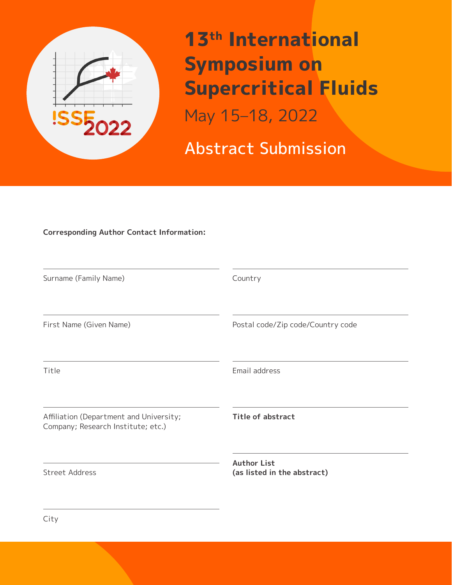

**13th International Symposium on Supercritical Fluids** May 15–18, 2022

Abstract Submission

## **Corresponding Author Contact Information:**

| Surname (Family Name)                                                         | Country                                           |
|-------------------------------------------------------------------------------|---------------------------------------------------|
| First Name (Given Name)                                                       | Postal code/Zip code/Country code                 |
| Title                                                                         | Email address                                     |
| Affiliation (Department and University;<br>Company; Research Institute; etc.) | <b>Title of abstract</b>                          |
| Street Address                                                                | <b>Author List</b><br>(as listed in the abstract) |

City